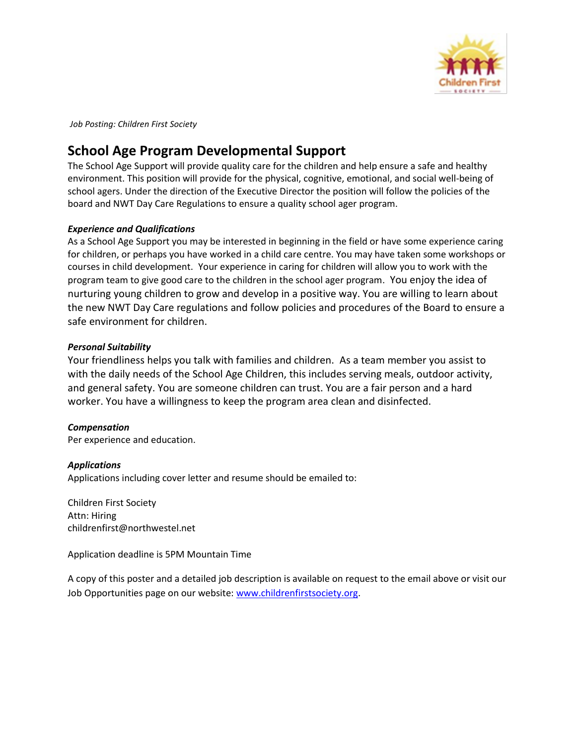

*Job Posting: Children First Society* 

# **School Age Program Developmental Support**

The School Age Support will provide quality care for the children and help ensure a safe and healthy environment. This position will provide for the physical, cognitive, emotional, and social well-being of school agers. Under the direction of the Executive Director the position will follow the policies of the board and NWT Day Care Regulations to ensure a quality school ager program.

## *Experience and Qualifications*

As a School Age Support you may be interested in beginning in the field or have some experience caring for children, or perhaps you have worked in a child care centre. You may have taken some workshops or courses in child development. Your experience in caring for children will allow you to work with the program team to give good care to the children in the school ager program. You enjoy the idea of nurturing young children to grow and develop in a positive way. You are willing to learn about the new NWT Day Care regulations and follow policies and procedures of the Board to ensure a safe environment for children.

## *Personal Suitability*

Your friendliness helps you talk with families and children. As a team member you assist to with the daily needs of the School Age Children, this includes serving meals, outdoor activity, and general safety. You are someone children can trust. You are a fair person and a hard worker. You have a willingness to keep the program area clean and disinfected.

## *Compensation*

Per experience and education.

## *Applications*

Applications including cover letter and resume should be emailed to:

Children First Society Attn: Hiring childrenfirst@northwestel.net

Application deadline is 5PM Mountain Time

A copy of this poster and a detailed job description is available on request to the email above or visit our Job Opportunities page on our website: [www.childrenfirstsociety.org.](http://www.childrenfirstsociety.org/)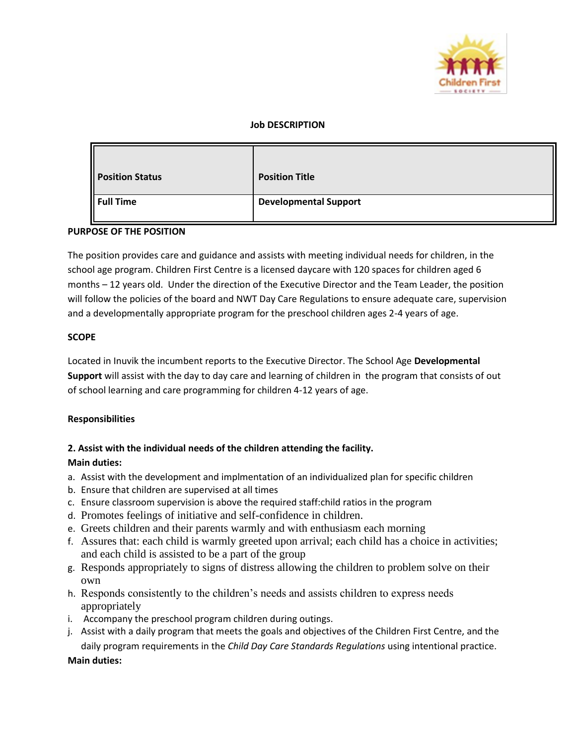

#### **Job DESCRIPTION**

| <b>Position Status</b> | <b>Position Title</b>        |
|------------------------|------------------------------|
| Full Time              | <b>Developmental Support</b> |

#### **PURPOSE OF THE POSITION**

The position provides care and guidance and assists with meeting individual needs for children, in the school age program. Children First Centre is a licensed daycare with 120 spaces for children aged 6 months – 12 years old. Under the direction of the Executive Director and the Team Leader, the position will follow the policies of the board and NWT Day Care Regulations to ensure adequate care, supervision and a developmentally appropriate program for the preschool children ages 2-4 years of age.

#### **SCOPE**

Located in Inuvik the incumbent reports to the Executive Director. The School Age **Developmental Support** will assist with the day to day care and learning of children in the program that consists of out of school learning and care programming for children 4-12 years of age.

#### **Responsibilities**

#### **2. Assist with the individual needs of the children attending the facility.**

#### **Main duties:**

- a. Assist with the development and implmentation of an individualized plan for specific children
- b. Ensure that children are supervised at all times
- c. Ensure classroom supervision is above the required staff:child ratios in the program
- d. Promotes feelings of initiative and self-confidence in children.
- e. Greets children and their parents warmly and with enthusiasm each morning
- f. Assures that: each child is warmly greeted upon arrival; each child has a choice in activities; and each child is assisted to be a part of the group
- g. Responds appropriately to signs of distress allowing the children to problem solve on their own
- h. Responds consistently to the children's needs and assists children to express needs appropriately
- i. Accompany the preschool program children during outings.
- j. Assist with a daily program that meets the goals and objectives of the Children First Centre, and the daily program requirements in the *Child Day Care Standards Regulations* using intentional practice.

**Main duties:**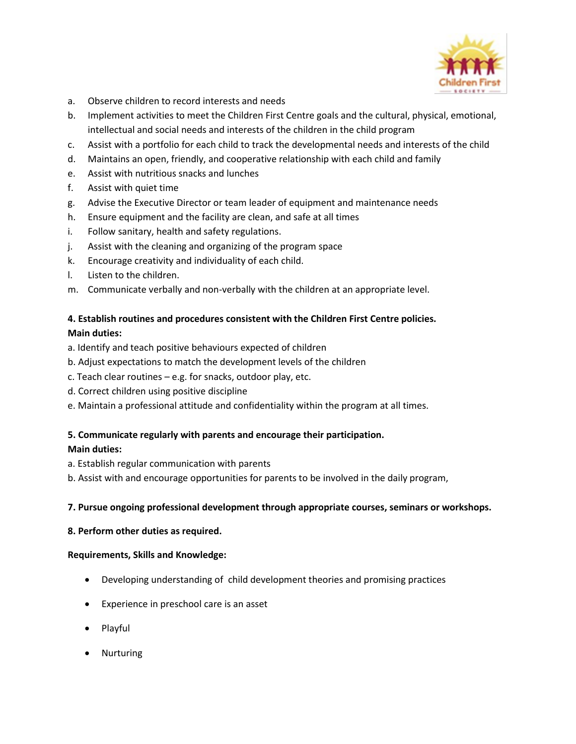

- a. Observe children to record interests and needs
- b. Implement activities to meet the Children First Centre goals and the cultural, physical, emotional, intellectual and social needs and interests of the children in the child program
- c. Assist with a portfolio for each child to track the developmental needs and interests of the child
- d. Maintains an open, friendly, and cooperative relationship with each child and family
- e. Assist with nutritious snacks and lunches
- f. Assist with quiet time
- g. Advise the Executive Director or team leader of equipment and maintenance needs
- h. Ensure equipment and the facility are clean, and safe at all times
- i. Follow sanitary, health and safety regulations.
- j. Assist with the cleaning and organizing of the program space
- k. Encourage creativity and individuality of each child.
- l. Listen to the children.
- m. Communicate verbally and non-verbally with the children at an appropriate level.

#### **4. Establish routines and procedures consistent with the Children First Centre policies. Main duties:**

- a. Identify and teach positive behaviours expected of children
- b. Adjust expectations to match the development levels of the children
- c. Teach clear routines e.g. for snacks, outdoor play, etc.
- d. Correct children using positive discipline
- e. Maintain a professional attitude and confidentiality within the program at all times.

## **5. Communicate regularly with parents and encourage their participation.**

#### **Main duties:**

- a. Establish regular communication with parents
- b. Assist with and encourage opportunities for parents to be involved in the daily program,

#### **7. Pursue ongoing professional development through appropriate courses, seminars or workshops.**

#### **8. Perform other duties as required.**

#### **Requirements, Skills and Knowledge:**

- Developing understanding of child development theories and promising practices
- Experience in preschool care is an asset
- Playful
- Nurturing